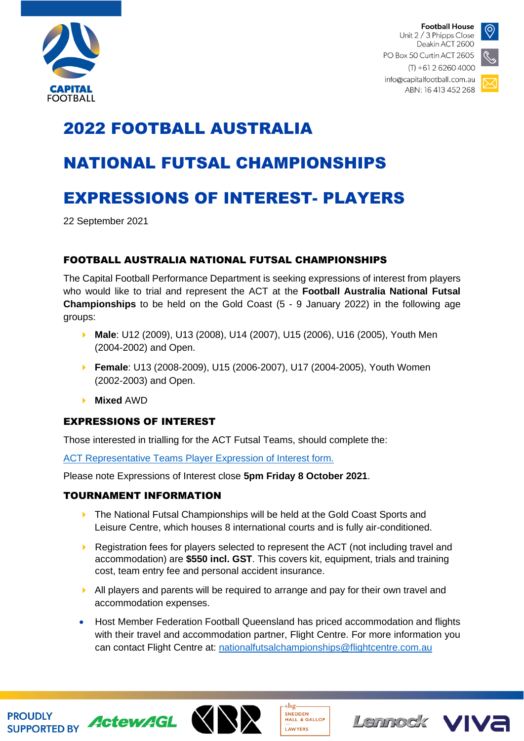

**Football House** Unit 2 / 3 Phipps Close Deakin ACT 2600 PO Box 50 Curtin ACT 2605



 $(T) + 61262604000$ info@capitalfootball.com.au ABN: 16 413 452 268

# 2022 FOOTBALL AUSTRALIA

# NATIONAL FUTSAL CHAMPIONSHIPS

# EXPRESSIONS OF INTEREST- PLAYERS

22 September 2021

### FOOTBALL AUSTRALIA NATIONAL FUTSAL CHAMPIONSHIPS

The Capital Football Performance Department is seeking expressions of interest from players who would like to trial and represent the ACT at the **Football Australia National Futsal Championships** to be held on the Gold Coast (5 - 9 January 2022) in the following age groups:

- **Male**: U12 (2009), U13 (2008), U14 (2007), U15 (2006), U16 (2005), Youth Men (2004-2002) and Open.
- **Female**: U13 (2008-2009), U15 (2006-2007), U17 (2004-2005), Youth Women (2002-2003) and Open.
- **Mixed** AWD

#### EXPRESSIONS OF INTEREST

Those interested in trialling for the ACT Futsal Teams, should complete the:

[ACT Representative Teams Player Expression of Interest form.](https://form.jotform.com/212591735470861)

Please note Expressions of Interest close **5pm Friday 8 October 2021**.

#### TOURNAMENT INFORMATION

- **The National Futsal Championships will be held at the Gold Coast Sports and** Leisure Centre, which houses 8 international courts and is fully air-conditioned.
- Registration fees for players selected to represent the ACT (not including travel and accommodation) are **\$550 incl. GST**. This covers kit, equipment, trials and training cost, team entry fee and personal accident insurance.
- $\blacktriangleright$  All players and parents will be required to arrange and pay for their own travel and accommodation expenses.
- Host Member Federation Football Queensland has priced accommodation and flights with their travel and accommodation partner, Flight Centre. For more information you can contact Flight Centre at: [nationalfutsalchampionships@flightcentre.com.au](mailto:nationalfutsalchampionships@flightcentre.com.au)